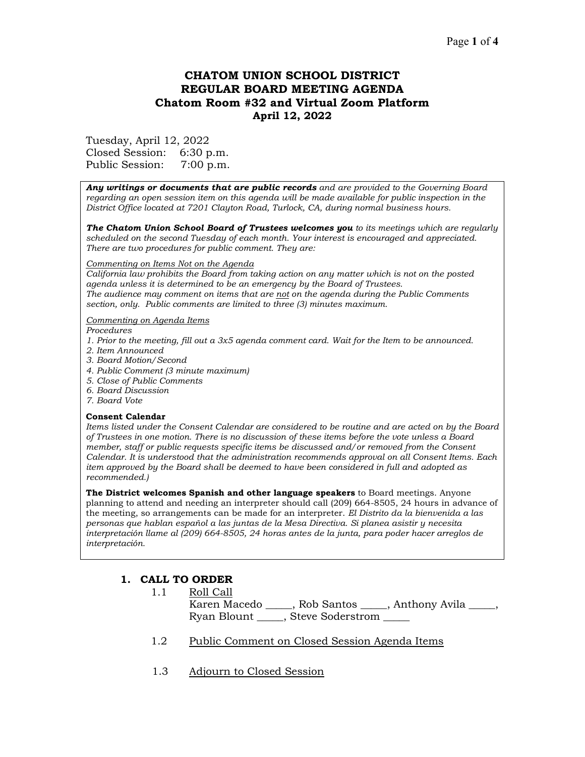## Page **1** of **4**

# **CHATOM UNION SCHOOL DISTRICT REGULAR BOARD MEETING AGENDA Chatom Room #32 and Virtual Zoom Platform April 12, 2022**

Tuesday, April 12, 2022 Closed Session: 6:30 p.m. Public Session: 7:00 p.m.

*Any writings or documents that are public records and are provided to the Governing Board regarding an open session item on this agenda will be made available for public inspection in the District Office located at 7201 Clayton Road, Turlock, CA, during normal business hours.*

*The Chatom Union School Board of Trustees welcomes you to its meetings which are regularly scheduled on the second Tuesday of each month. Your interest is encouraged and appreciated. There are two procedures for public comment. They are:*

#### *Commenting on Items Not on the Agenda*

*California law prohibits the Board from taking action on any matter which is not on the posted agenda unless it is determined to be an emergency by the Board of Trustees. The audience may comment on items that are not on the agenda during the Public Comments section, only. Public comments are limited to three (3) minutes maximum.*

#### *Commenting on Agenda Items*

*Procedures* 

- *1. Prior to the meeting, fill out a 3x5 agenda comment card. Wait for the Item to be announced.*
- *2. Item Announced*
- *3. Board Motion/Second*
- *4. Public Comment (3 minute maximum)*
- *5. Close of Public Comments*
- *6. Board Discussion*
- *7. Board Vote*

#### **Consent Calendar**

*Items listed under the Consent Calendar are considered to be routine and are acted on by the Board of Trustees in one motion. There is no discussion of these items before the vote unless a Board member, staff or public requests specific items be discussed and/or removed from the Consent Calendar. It is understood that the administration recommends approval on all Consent Items. Each item approved by the Board shall be deemed to have been considered in full and adopted as recommended.)*

**The District welcomes Spanish and other language speakers** to Board meetings. Anyone planning to attend and needing an interpreter should call (209) 664-8505, 24 hours in advance of the meeting, so arrangements can be made for an interpreter. *El Distrito da la bienvenida a las personas que hablan español a las juntas de la Mesa Directiva. Si planea asistir y necesita interpretación llame al (209) 664-8505, 24 horas antes de la junta, para poder hacer arreglos de interpretación.*

#### **1. CALL TO ORDER**

- 1.1 Roll Call Karen Macedo \_\_\_\_\_, Rob Santos \_\_\_\_, Anthony Avila \_\_\_\_, Ryan Blount \_\_\_\_\_, Steve Soderstrom \_\_\_\_\_
- 1.2 Public Comment on Closed Session Agenda Items
- 1.3 Adjourn to Closed Session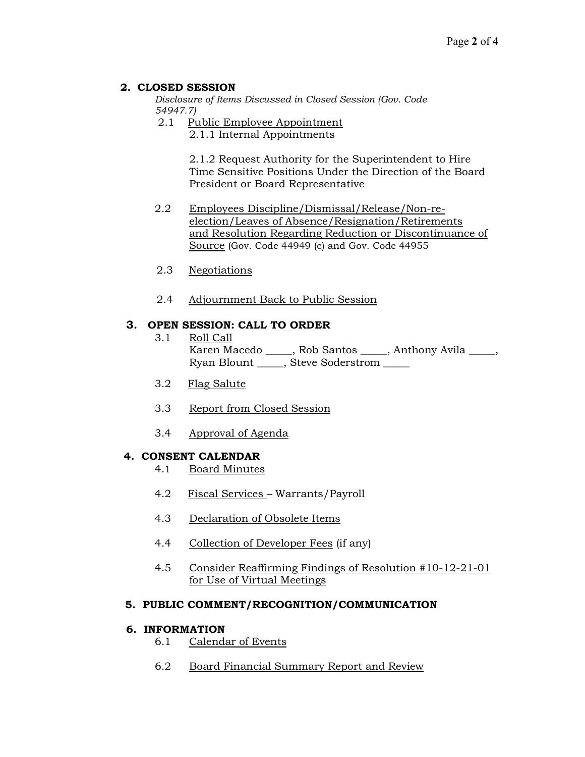## **2. CLOSED SESSION**

*Disclosure of Items Discussed in Closed Session (Gov. Code 54947.7)*

- 2.1 Public Employee Appointment
	- 2.1.1 Internal Appointments

2.1.2 Request Authority for the Superintendent to Hire Time Sensitive Positions Under the Direction of the Board President or Board Representative

- 2.2 Employees Discipline/Dismissal/Release/Non-reelection/Leaves of Absence/Resignation/Retirements and Resolution Regarding Reduction or Discontinuance of Source (Gov. Code 44949 (e) and Gov. Code 44955
- 2.3 Negotiations
- 2.4 Adjournment Back to Public Session

## **3. OPEN SESSION: CALL TO ORDER**

- 3.1 Roll Call Karen Macedo \_\_\_\_\_, Rob Santos \_\_\_\_\_, Anthony Avila \_\_\_\_, Ryan Blount \_\_\_\_\_, Steve Soderstrom \_\_\_\_\_
- 3.2 Flag Salute
- 3.3 Report from Closed Session
- 3.4 Approval of Agenda

#### **4. CONSENT CALENDAR**

- 4.1 Board Minutes
- 4.2 Fiscal Services Warrants/Payroll
- 4.3 Declaration of Obsolete Items
- 4.4 Collection of Developer Fees (if any)
- 4.5 Consider Reaffirming Findings of Resolution #10-12-21-01 for Use of Virtual Meetings

#### **5. PUBLIC COMMENT/RECOGNITION/COMMUNICATION**

### **6. INFORMATION**

- 6.1 Calendar of Events
- 6.2 Board Financial Summary Report and Review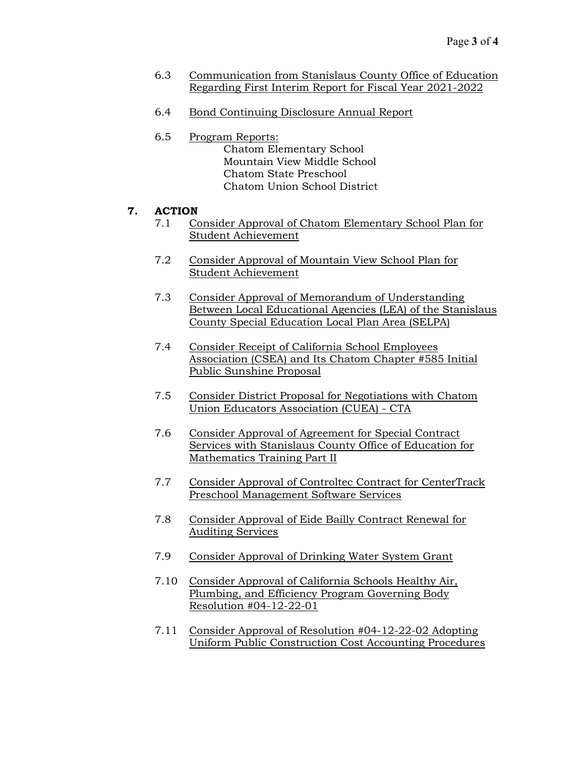- 6.3 Communication from Stanislaus County Office of Education Regarding First Interim Report for Fiscal Year 2021-2022
- 6.4 Bond Continuing Disclosure Annual Report
- 6.5 Program Reports: Chatom Elementary School Mountain View Middle School Chatom State Preschool Chatom Union School District

## **7. ACTION**

- 7.1 Consider Approval of Chatom Elementary School Plan for Student Achievement
- 7.2 Consider Approval of Mountain View School Plan for Student Achievement
- 7.3 Consider Approval of Memorandum of Understanding Between Local Educational Agencies (LEA) of the Stanislaus County Special Education Local Plan Area (SELPA)
- 7.4 Consider Receipt of California School Employees Association (CSEA) and Its Chatom Chapter #585 Initial Public Sunshine Proposal
- 7.5 Consider District Proposal for Negotiations with Chatom Union Educators Association (CUEA) - CTA
- 7.6 Consider Approval of Agreement for Special Contract Services with Stanislaus County Office of Education for Mathematics Training Part II
- 7.7 Consider Approval of Controltec Contract for CenterTrack Preschool Management Software Services
- 7.8 Consider Approval of Eide Bailly Contract Renewal for Auditing Services
- 7.9 Consider Approval of Drinking Water System Grant
- 7.10 Consider Approval of California Schools Healthy Air, Plumbing, and Efficiency Program Governing Body Resolution #04-12-22-01
- 7.11 Consider Approval of Resolution #04-12-22-02 Adopting Uniform Public Construction Cost Accounting Procedures